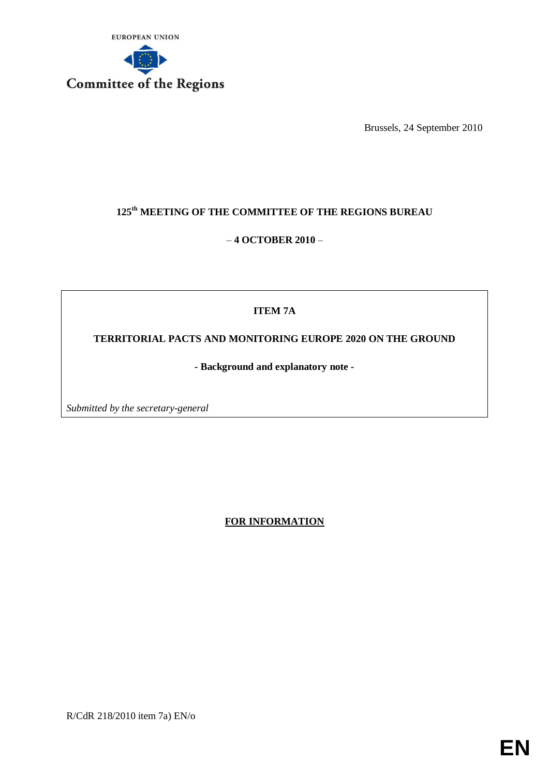

Brussels, 24 September 2010

# **125th MEETING OF THE COMMITTEE OF THE REGIONS BUREAU**

## – **4 OCTOBER 2010** –

## **ITEM 7A**

**TERRITORIAL PACTS AND MONITORING EUROPE 2020 ON THE GROUND** 

**- Background and explanatory note -**

*Submitted by the secretary-general* 

**FOR INFORMATION**

R/CdR 218/2010 item 7a) EN/o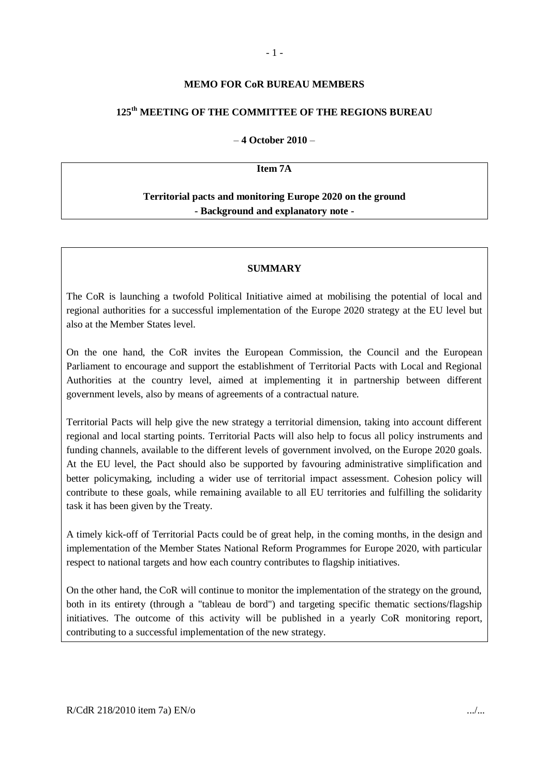#### **MEMO FOR CoR BUREAU MEMBERS**

### **125th MEETING OF THE COMMITTEE OF THE REGIONS BUREAU**

#### – **4 October 2010** –

#### **Item 7A**

## **Territorial pacts and monitoring Europe 2020 on the ground - Background and explanatory note -**

#### **SUMMARY**

The CoR is launching a twofold Political Initiative aimed at mobilising the potential of local and regional authorities for a successful implementation of the Europe 2020 strategy at the EU level but also at the Member States level.

On the one hand, the CoR invites the European Commission, the Council and the European Parliament to encourage and support the establishment of Territorial Pacts with Local and Regional Authorities at the country level, aimed at implementing it in partnership between different government levels, also by means of agreements of a contractual nature.

Territorial Pacts will help give the new strategy a territorial dimension, taking into account different regional and local starting points. Territorial Pacts will also help to focus all policy instruments and funding channels, available to the different levels of government involved, on the Europe 2020 goals. At the EU level, the Pact should also be supported by favouring administrative simplification and better policymaking, including a wider use of territorial impact assessment. Cohesion policy will contribute to these goals, while remaining available to all EU territories and fulfilling the solidarity task it has been given by the Treaty.

A timely kick-off of Territorial Pacts could be of great help, in the coming months, in the design and implementation of the Member States National Reform Programmes for Europe 2020, with particular respect to national targets and how each country contributes to flagship initiatives.

On the other hand, the CoR will continue to monitor the implementation of the strategy on the ground, both in its entirety (through a "tableau de bord") and targeting specific thematic sections/flagship initiatives. The outcome of this activity will be published in a yearly CoR monitoring report, contributing to a successful implementation of the new strategy.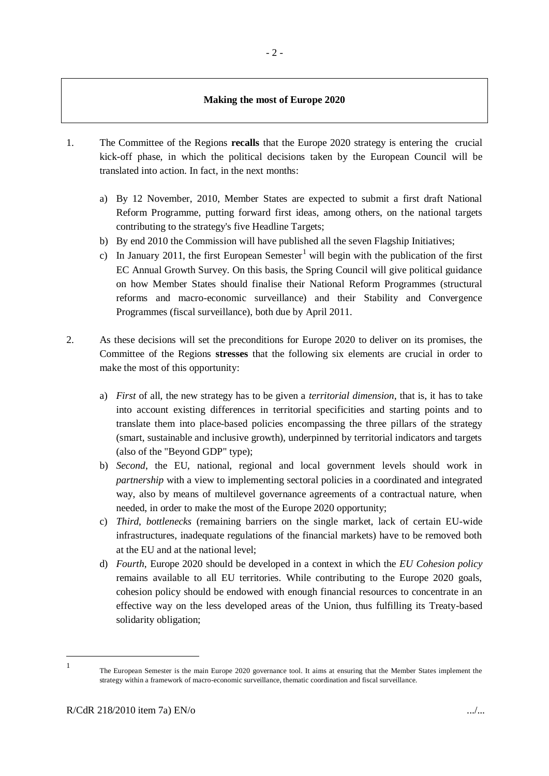#### **Making the most of Europe 2020**

- 1. The Committee of the Regions **recalls** that the Europe 2020 strategy is entering the crucial kick-off phase, in which the political decisions taken by the European Council will be translated into action. In fact, in the next months:
	- a) By 12 November, 2010, Member States are expected to submit a first draft National Reform Programme, putting forward first ideas, among others, on the national targets contributing to the strategy's five Headline Targets;
	- b) By end 2010 the Commission will have published all the seven Flagship Initiatives;
	- c) In January 2011, the first European Semester<sup>1</sup> will begin with the publication of the first EC Annual Growth Survey. On this basis, the Spring Council will give political guidance on how Member States should finalise their National Reform Programmes (structural reforms and macro-economic surveillance) and their Stability and Convergence Programmes (fiscal surveillance), both due by April 2011.
- 2. As these decisions will set the preconditions for Europe 2020 to deliver on its promises, the Committee of the Regions **stresses** that the following six elements are crucial in order to make the most of this opportunity:
	- a) *First* of all, the new strategy has to be given a *territorial dimension*, that is, it has to take into account existing differences in territorial specificities and starting points and to translate them into place-based policies encompassing the three pillars of the strategy (smart, sustainable and inclusive growth), underpinned by territorial indicators and targets (also of the "Beyond GDP" type);
	- b) *Second*, the EU, national, regional and local government levels should work in *partnership* with a view to implementing sectoral policies in a coordinated and integrated way, also by means of multilevel governance agreements of a contractual nature, when needed, in order to make the most of the Europe 2020 opportunity;
	- c) *Third*, *bottlenecks* (remaining barriers on the single market, lack of certain EU-wide infrastructures, inadequate regulations of the financial markets) have to be removed both at the EU and at the national level;
	- d) *Fourth*, Europe 2020 should be developed in a context in which the *EU Cohesion policy*  remains available to all EU territories. While contributing to the Europe 2020 goals, cohesion policy should be endowed with enough financial resources to concentrate in an effective way on the less developed areas of the Union, thus fulfilling its Treaty-based solidarity obligation;

<sup>1</sup> 1

The European Semester is the main Europe 2020 governance tool. It aims at ensuring that the Member States implement the strategy within a framework of macro-economic surveillance, thematic coordination and fiscal surveillance.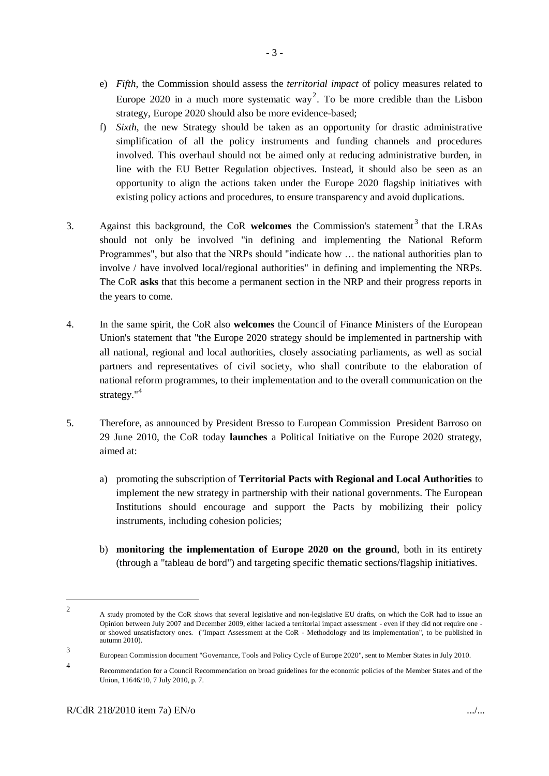- e) *Fifth*, the Commission should assess the *territorial impact* of policy measures related to Europe 2020 in a much more systematic way<sup>2</sup>. To be more credible than the Lisbon strategy, Europe 2020 should also be more evidence-based;
- f) *Sixth*, the new Strategy should be taken as an opportunity for drastic administrative simplification of all the policy instruments and funding channels and procedures involved. This overhaul should not be aimed only at reducing administrative burden, in line with the EU Better Regulation objectives. Instead, it should also be seen as an opportunity to align the actions taken under the Europe 2020 flagship initiatives with existing policy actions and procedures, to ensure transparency and avoid duplications.
- 3. Against this background, the CoR welcomes the Commission's statement<sup>3</sup> that the LRAs should not only be involved "in defining and implementing the National Reform Programmes", but also that the NRPs should "indicate how … the national authorities plan to involve / have involved local/regional authorities" in defining and implementing the NRPs. The CoR **asks** that this become a permanent section in the NRP and their progress reports in the years to come.
- 4. In the same spirit, the CoR also **welcomes** the Council of Finance Ministers of the European Union's statement that "the Europe 2020 strategy should be implemented in partnership with all national, regional and local authorities, closely associating parliaments, as well as social partners and representatives of civil society, who shall contribute to the elaboration of national reform programmes, to their implementation and to the overall communication on the strategy."<sup>4</sup>
- 5. Therefore, as announced by President Bresso to European Commission President Barroso on 29 June 2010, the CoR today **launches** a Political Initiative on the Europe 2020 strategy, aimed at:
	- a) promoting the subscription of **Territorial Pacts with Regional and Local Authorities** to implement the new strategy in partnership with their national governments. The European Institutions should encourage and support the Pacts by mobilizing their policy instruments, including cohesion policies;
	- b) **monitoring the implementation of Europe 2020 on the ground**, both in its entirety (through a "tableau de bord") and targeting specific thematic sections/flagship initiatives.

-

 $\overline{2}$ A study promoted by the CoR shows that several legislative and non-legislative EU drafts, on which the CoR had to issue an Opinion between July 2007 and December 2009, either lacked a territorial impact assessment - even if they did not require one or showed unsatisfactory ones. ("Impact Assessment at the CoR - Methodology and its implementation", to be published in autumn 2010).

<sup>3</sup> European Commission document "Governance, Tools and Policy Cycle of Europe 2020", sent to Member States in July 2010.

<sup>4</sup> Recommendation for a Council Recommendation on broad guidelines for the economic policies of the Member States and of the Union, 11646/10, 7 July 2010, p. 7.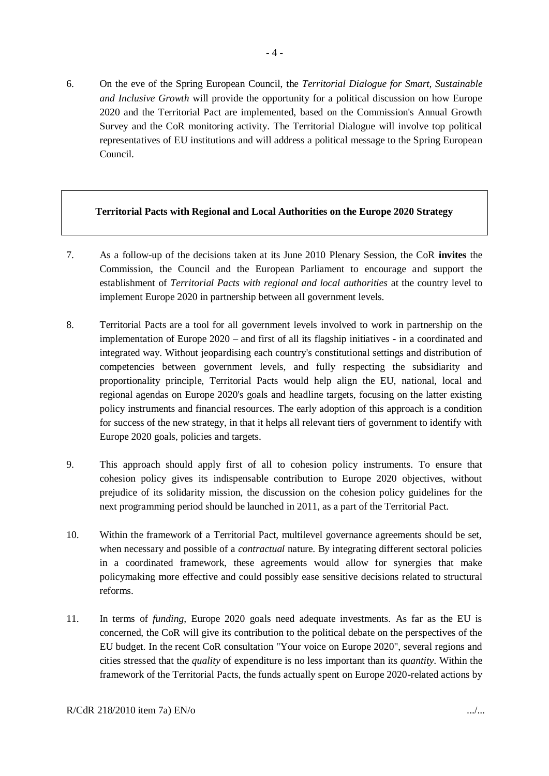6. On the eve of the Spring European Council, the *Territorial Dialogue for Smart, Sustainable and Inclusive Growth* will provide the opportunity for a political discussion on how Europe 2020 and the Territorial Pact are implemented, based on the Commission's Annual Growth Survey and the CoR monitoring activity. The Territorial Dialogue will involve top political representatives of EU institutions and will address a political message to the Spring European Council.

### **Territorial Pacts with Regional and Local Authorities on the Europe 2020 Strategy**

- 7. As a follow-up of the decisions taken at its June 2010 Plenary Session, the CoR **invites** the Commission, the Council and the European Parliament to encourage and support the establishment of *Territorial Pacts with regional and local authorities* at the country level to implement Europe 2020 in partnership between all government levels.
- 8. Territorial Pacts are a tool for all government levels involved to work in partnership on the implementation of Europe 2020 – and first of all its flagship initiatives - in a coordinated and integrated way. Without jeopardising each country's constitutional settings and distribution of competencies between government levels, and fully respecting the subsidiarity and proportionality principle, Territorial Pacts would help align the EU, national, local and regional agendas on Europe 2020's goals and headline targets, focusing on the latter existing policy instruments and financial resources. The early adoption of this approach is a condition for success of the new strategy, in that it helps all relevant tiers of government to identify with Europe 2020 goals, policies and targets.
- 9. This approach should apply first of all to cohesion policy instruments. To ensure that cohesion policy gives its indispensable contribution to Europe 2020 objectives, without prejudice of its solidarity mission, the discussion on the cohesion policy guidelines for the next programming period should be launched in 2011, as a part of the Territorial Pact.
- 10. Within the framework of a Territorial Pact, multilevel governance agreements should be set, when necessary and possible of a *contractual* nature. By integrating different sectoral policies in a coordinated framework, these agreements would allow for synergies that make policymaking more effective and could possibly ease sensitive decisions related to structural reforms.
- 11. In terms of *funding*, Europe 2020 goals need adequate investments. As far as the EU is concerned, the CoR will give its contribution to the political debate on the perspectives of the EU budget. In the recent CoR consultation "Your voice on Europe 2020", several regions and cities stressed that the *quality* of expenditure is no less important than its *quantity*. Within the framework of the Territorial Pacts, the funds actually spent on Europe 2020-related actions by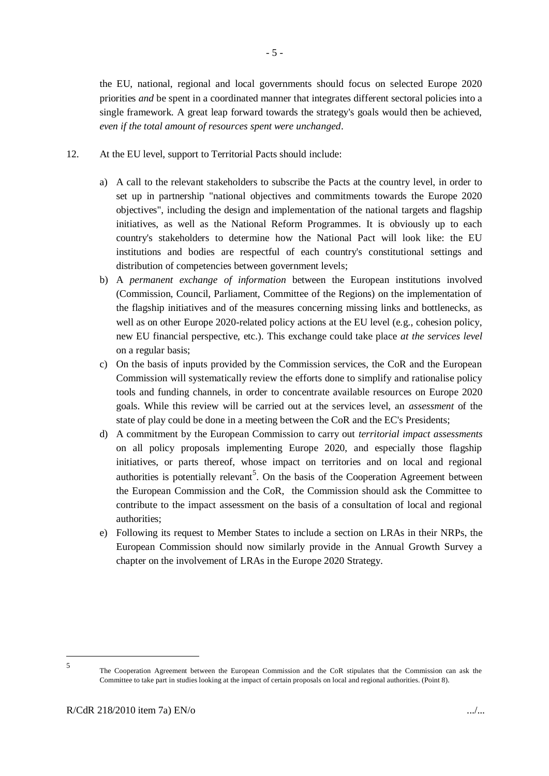the EU, national, regional and local governments should focus on selected Europe 2020 priorities *and* be spent in a coordinated manner that integrates different sectoral policies into a single framework. A great leap forward towards the strategy's goals would then be achieved, *even if the total amount of resources spent were unchanged*.

- 12. At the EU level, support to Territorial Pacts should include:
	- a) A call to the relevant stakeholders to subscribe the Pacts at the country level, in order to set up in partnership "national objectives and commitments towards the Europe 2020 objectives", including the design and implementation of the national targets and flagship initiatives, as well as the National Reform Programmes. It is obviously up to each country's stakeholders to determine how the National Pact will look like: the EU institutions and bodies are respectful of each country's constitutional settings and distribution of competencies between government levels;
	- b) A *permanent exchange of information* between the European institutions involved (Commission, Council, Parliament, Committee of the Regions) on the implementation of the flagship initiatives and of the measures concerning missing links and bottlenecks, as well as on other Europe 2020-related policy actions at the EU level (e.g., cohesion policy, new EU financial perspective, etc.). This exchange could take place *at the services level* on a regular basis;
	- c) On the basis of inputs provided by the Commission services, the CoR and the European Commission will systematically review the efforts done to simplify and rationalise policy tools and funding channels, in order to concentrate available resources on Europe 2020 goals. While this review will be carried out at the services level, an *assessment* of the state of play could be done in a meeting between the CoR and the EC's Presidents;
	- d) A commitment by the European Commission to carry out *territorial impact assessments* on all policy proposals implementing Europe 2020, and especially those flagship initiatives, or parts thereof, whose impact on territories and on local and regional authorities is potentially relevant<sup>5</sup>. On the basis of the Cooperation Agreement between the European Commission and the CoR, the Commission should ask the Committee to contribute to the impact assessment on the basis of a consultation of local and regional authorities;
	- e) Following its request to Member States to include a section on LRAs in their NRPs, the European Commission should now similarly provide in the Annual Growth Survey a chapter on the involvement of LRAs in the Europe 2020 Strategy.

<sup>1</sup> 5

The Cooperation Agreement between the European Commission and the CoR stipulates that the Commission can ask the Committee to take part in studies looking at the impact of certain proposals on local and regional authorities. (Point 8).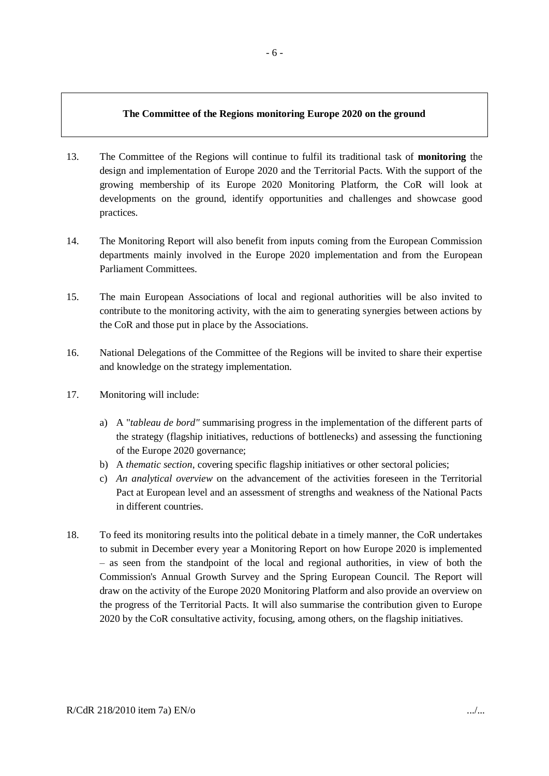### **The Committee of the Regions monitoring Europe 2020 on the ground**

- 13. The Committee of the Regions will continue to fulfil its traditional task of **monitoring** the design and implementation of Europe 2020 and the Territorial Pacts. With the support of the growing membership of its Europe 2020 Monitoring Platform, the CoR will look at developments on the ground, identify opportunities and challenges and showcase good practices.
- 14. The Monitoring Report will also benefit from inputs coming from the European Commission departments mainly involved in the Europe 2020 implementation and from the European Parliament Committees.
- 15. The main European Associations of local and regional authorities will be also invited to contribute to the monitoring activity, with the aim to generating synergies between actions by the CoR and those put in place by the Associations.
- 16. National Delegations of the Committee of the Regions will be invited to share their expertise and knowledge on the strategy implementation.
- 17. Monitoring will include:
	- a) A "*tableau de bord"* summarising progress in the implementation of the different parts of the strategy (flagship initiatives, reductions of bottlenecks) and assessing the functioning of the Europe 2020 governance;
	- b) A *thematic section*, covering specific flagship initiatives or other sectoral policies;
	- c) *An analytical overview* on the advancement of the activities foreseen in the Territorial Pact at European level and an assessment of strengths and weakness of the National Pacts in different countries.
- 18. To feed its monitoring results into the political debate in a timely manner, the CoR undertakes to submit in December every year a Monitoring Report on how Europe 2020 is implemented – as seen from the standpoint of the local and regional authorities, in view of both the Commission's Annual Growth Survey and the Spring European Council. The Report will draw on the activity of the Europe 2020 Monitoring Platform and also provide an overview on the progress of the Territorial Pacts. It will also summarise the contribution given to Europe 2020 by the CoR consultative activity, focusing, among others, on the flagship initiatives.